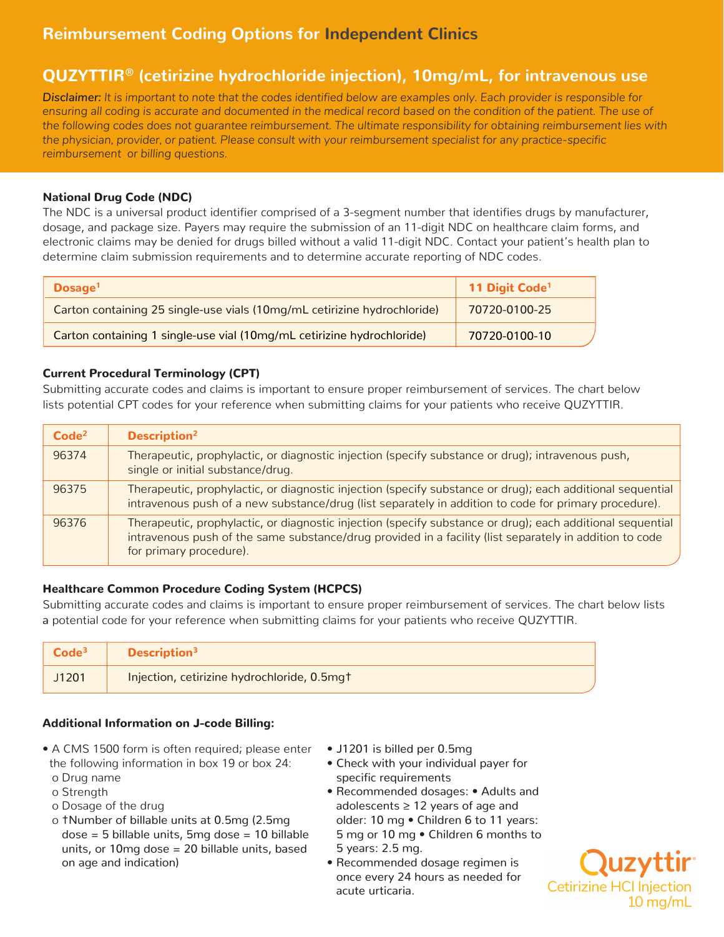# **Reimbursement Coding Options for Independent Clinics**

## **QUZYTTIR® (cetirizine hydrochloride injection), 10mg/mL, for intravenous use**

*Disclaimer: It is important to note that the codes identified below are examples only. Each provider is responsible for ensuring all coding is accurate and documented in the medical record based on the condition of the patient. The use of the following codes does not guarantee reimbursement. The ultimate responsibility for obtaining reimbursement lies with the physician, provider, or patient. Please consult with your reimbursement specialist for any practice-specific reimbursement or billing questions.*

### National Drug Code (NDC)

The NDC is a universal product identifier comprised of a 3-segment number that identifies drugs by manufacturer, dosage, and package size. Payers may require the submission of an 11-digit NDC on healthcare claim forms, and electronic claims may be denied for drugs billed without a valid 11-digit NDC. Contact your patient's health plan to determine claim submission requirements and to determine accurate reporting of NDC codes.

| Dosage <sup>1</sup>                                                      | 11 Digit Code <sup>1</sup> |
|--------------------------------------------------------------------------|----------------------------|
| Carton containing 25 single-use vials (10mg/mL cetirizine hydrochloride) | 70720-0100-25              |
| Carton containing 1 single-use vial (10mg/mL cetirizine hydrochloride)   | 70720-0100-10              |

#### Current Procedural Terminology (CPT)

Submitting accurate codes and claims is important to ensure proper reimbursement of services. The chart below lists potential CPT codes for your reference when submitting claims for your patients who receive QUZYTTIR.

| Code <sup>2</sup> | Description <sup>2</sup>                                                                                                                                                                                                                         |
|-------------------|--------------------------------------------------------------------------------------------------------------------------------------------------------------------------------------------------------------------------------------------------|
| 96374             | Therapeutic, prophylactic, or diagnostic injection (specify substance or drug); intravenous push,<br>single or initial substance/drug.                                                                                                           |
| 96375             | Therapeutic, prophylactic, or diagnostic injection (specify substance or drug); each additional sequential<br>intravenous push of a new substance/drug (list separately in addition to code for primary procedure).                              |
| 96376             | Therapeutic, prophylactic, or diagnostic injection (specify substance or drug); each additional sequential<br>intravenous push of the same substance/drug provided in a facility (list separately in addition to code<br>for primary procedure). |

#### Healthcare Common Procedure Coding System (HCPCS)

Submitting accurate codes and claims is important to ensure proper reimbursement of services. The chart below lists a potential code for your reference when submitting claims for your patients who receive QUZYTTIR.

|       | Description <sup>3</sup>                    |
|-------|---------------------------------------------|
| J1201 | Injection, cetirizine hydrochloride, 0.5mgt |

#### Additional Information on J-code Billing:

- A CMS 1500 form is often required; please enter the following information in box 19 or box 24: o Drug name
	- o Strength
	- o Dosage of the drug
	- o †Number of billable units at 0.5mg (2.5mg dose = 5 billable units, 5mg dose = 10 billable units, or 10mg dose = 20 billable units, based on age and indication)
- J1201 is billed per 0.5mg
- Check with your individual payer for specific requirements
- Recommended dosages: Adults and adolescents ≥ 12 years of age and older: 10 mg • Children 6 to 11 years: 5 mg or 10 mg • Children 6 months to 5 years: 2.5 mg.
- Recommended dosage regimen is once every 24 hours as needed for acute urticaria.